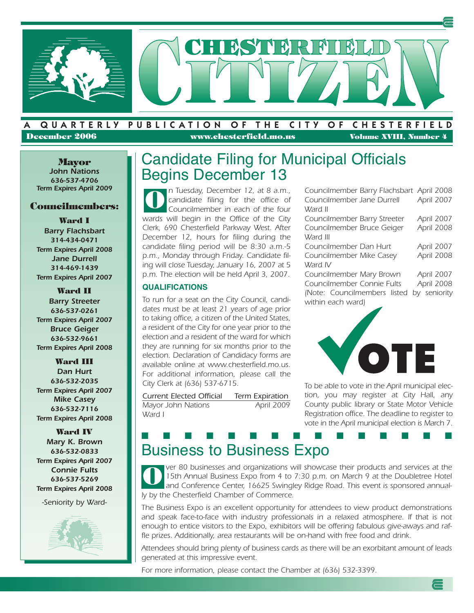

### **December 2006 www.chesterfield.mo.us Volume XVIII, Number 4**

**Mayor** *John Nations 636-537-4706 Term Expires April 2009*

### **Councilmembers:**

#### **Ward I**

*Barry Flachsbart 314-434-0471 Term Expires April 2008 Jane Durrell 314-469-1439 Term Expires April 2007*

**Ward II** *Barry Streeter 636-537-0261 Term Expires April 2007 Bruce Geiger 636-532-9661 Term Expires April 2008*

#### **Ward III**

*Dan Hurt 636-532-2035 Term Expires April 2007 Mike Casey 636-532-7116 Term Expires April 2008*

**Ward IV** *Mary K. Brown 636-532-0833 Term Expires April 2007 Connie Fults 636-537-5269 Term Expires April 2008*

-Seniority by Ward-



### Candidate Filing for Municipal Officials Begins December 13

n Tuesday, December 12, at 8 a.m., candidate filing for the office of Councilmember in each of the four wards will begin in the Office of the City Clerk, 690 Chesterfield Parkway West. After December 12, hours for filing during the candidate filing period will be 8:30 a.m.-5 p.m., Monday through Friday. Candidate filing will close Tuesday, January 16, 2007 at 5 p.m. The election will be held April 3, 2007. **O**

### **QUALIFICATIONS**

To run for a seat on the City Council, candidates must be at least 21 years of age prior to taking office, a citizen of the United States, a resident of the City for one year prior to the election and a resident of the ward for which they are running for six months prior to the election. Declaration of Candidacy forms are available online at www.chesterfield.mo.us. For additional information, please call the City Clerk at (636) 537-6715.

Current Elected Official Term Expiration Mayor John Nations **April 2009** Ward I

| Councilmember Barry Flachsbart April 2008 |              |
|-------------------------------------------|--------------|
| Councilmember Jane Durrell                | April 2007   |
| Ward II                                   |              |
| Councilmember Barry Streeter              | April 2007   |
| Councilmember Bruce Geiger                | April 2008   |
| Ward III                                  |              |
| Councilmember Dan Hurt                    | April 2007   |
| Councilmember Mike Casey                  | April 2008   |
| Ward IV                                   |              |
| Councilmember Mary Brown                  | April 2007   |
| Councilmember Connie Fults                | April 2008   |
| (Note: Councilmembers listed              | by seniority |
| within each ward)                         |              |



To be able to vote in the April municipal election, you may register at City Hall, any County public library or State Motor Vehicle Registration office. The deadline to register to vote in the April municipal election is March 7.

### Business to Business Expo **■ ■ ■ ■ ■ ■ ■ ■ ■ ■ ■ ■ ■ ■ ■**

ver 80 businesses and organizations will showcase their products and services at the 15th Annual Business Expo from 4 to 7:30 p.m. on March 9 at the Doubletree Hotel and Conference Center, 16625 Swingley Ridge Road. This event is sponsored annually by the Chesterfield Chamber of Commerce. **O**

The Business Expo is an excellent opportunity for attendees to view product demonstrations and speak face-to-face with industry professionals in a relaxed atmosphere. If that is not enough to entice visitors to the Expo, exhibitors will be offering fabulous give-aways and raffle prizes. Additionally, area restaurants will be on-hand with free food and drink.

Attendees should bring plenty of business cards as there will be an exorbitant amount of leads generated at this impressive event.

For more information, please contact the Chamber at (636) 532-3399.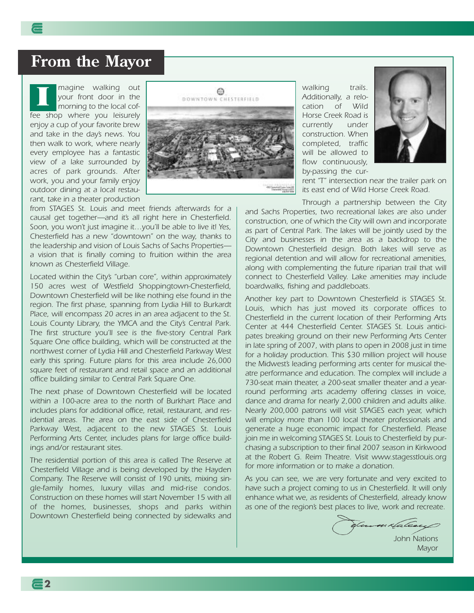### **From the Mayor**

magine walking out your front door in the morning to the local coffee shop where you leisurely enjoy a cup of your favorite brew and take in the day's news. You then walk to work, where nearly every employee has a fantastic view of a lake surrounded by acres of park grounds. After work, you and your family enjoy outdoor dining at a local restaurant, take in a theater production **I**



from STAGES St. Louis and meet friends afterwards for a causal get together—and it's all right here in Chesterfield. Soon, you won't just imagine it…you'll be able to live it! Yes, Chesterfield has a new "downtown" on the way, thanks to the leadership and vision of Louis Sachs of Sachs Properties a vision that is finally coming to fruition within the area known as Chesterfield Village.

Located within the City's "urban core", within approximately 150 acres west of Westfield Shoppingtown-Chesterfield, Downtown Chesterfield will be like nothing else found in the region. The first phase, spanning from Lydia Hill to Burkardt Place, will encompass 20 acres in an area adjacent to the St. Louis County Library, the YMCA and the City's Central Park. The first structure you'll see is the five-story Central Park Square One office building, which will be constructed at the northwest corner of Lydia Hill and Chesterfield Parkway West early this spring. Future plans for this area include 26,000 square feet of restaurant and retail space and an additional office building similar to Central Park Square One.

The next phase of Downtown Chesterfield will be located within a 100-acre area to the north of Burkhart Place and includes plans for additional office, retail, restaurant, and residential areas. The area on the east side of Chesterfield Parkway West, adjacent to the new STAGES St. Louis Performing Arts Center, includes plans for large office buildings and/or restaurant sites.

The residential portion of this area is called The Reserve at Chesterfield Village and is being developed by the Hayden Company. The Reserve will consist of 190 units, mixing single-family homes, luxury villas and mid-rise condos. Construction on these homes will start November 15 with all of the homes, businesses, shops and parks within Downtown Chesterfield being connected by sidewalks and

walking trails. Additionally, a relocation of Wild Horse Creek Road is currently under construction. When completed, traffic will be allowed to flow continuously, by-passing the cur-



rent "T" intersection near the trailer park on its east end of Wild Horse Creek Road.

Through a partnership between the City

and Sachs Properties, two recreational lakes are also under construction, one of which the City will own and incorporate as part of Central Park. The lakes will be jointly used by the City and businesses in the area as a backdrop to the Downtown Chesterfield design. Both lakes will serve as regional detention and will allow for recreational amenities, along with complementing the future riparian trail that will connect to Chesterfield Valley. Lake amenities may include boardwalks, fishing and paddleboats.

Another key part to Downtown Chesterfield is STAGES St. Louis, which has just moved its corporate offices to Chesterfield in the current location of their Performing Arts Center at 444 Chesterfield Center. STAGES St. Louis anticipates breaking ground on their new Performing Arts Center in late spring of 2007, with plans to open in 2008 just in time for a holiday production. This \$30 million project will house the Midwest's leading performing arts center for musical theatre performance and education. The complex will include a 730-seat main theater, a 200-seat smaller theater and a yearround performing arts academy offering classes in voice, dance and drama for nearly 2,000 children and adults alike. Nearly 200,000 patrons will visit STAGES each year, which will employ more than 100 local theater professionals and generate a huge economic impact for Chesterfield. Please join me in welcoming STAGES St. Louis to Chesterfield by purchasing a subscription to their final 2007 season in Kirkwood at the Robert G. Reim Theatre. Visit www.stagesstlouis.org for more information or to make a donation.

As you can see, we are very fortunate and very excited to have such a project coming to us in Chesterfield. It will only enhance what we, as residents of Chesterfield, already know as one of the region's best places to live, work and recreate.

Commitateaux

John Nations Mayor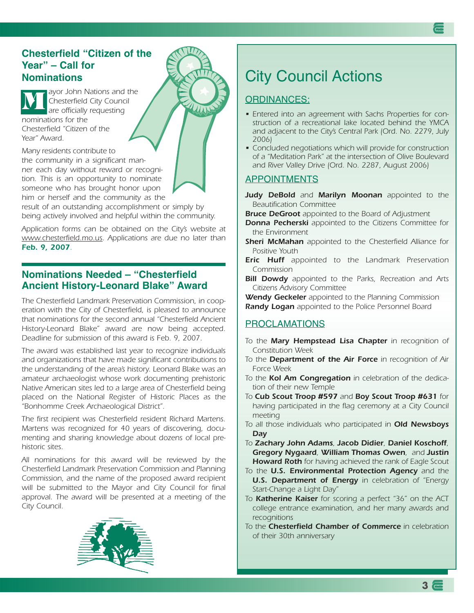### **Chesterfield "Citizen of the Year" – Call for Nominations**

ayor John Nations and the Chesterfield City Council are officially requesting nominations for the Chesterfield "Citizen of the Year" Award. **M**

Many residents contribute to

the community in a significant manner each day without reward or recognition. This is an opportunity to nominate someone who has brought honor upon him or herself and the community as the

result of an outstanding accomplishment or simply by being actively involved and helpful within the community.

Application forms can be obtained on the City's website at www.chesterfield.mo.us. Applications are due no later than *Feb. 9, 2007*.

### **Nominations Needed – "Chesterfield Ancient History-Leonard Blake" Award**

The Chesterfield Landmark Preservation Commission, in cooperation with the City of Chesterfield, is pleased to announce that nominations for the second annual "Chesterfield Ancient History-Leonard Blake" award are now being accepted. Deadline for submission of this award is Feb. 9, 2007.

The award was established last year to recognize individuals and organizations that have made significant contributions to the understanding of the area's history. Leonard Blake was an amateur archaeologist whose work documenting prehistoric Native American sites led to a large area of Chesterfield being placed on the National Register of Historic Places as the "Bonhomme Creek Archaeological District".

The first recipient was Chesterfield resident Richard Martens. Martens was recognized for 40 years of discovering, documenting and sharing knowledge about dozens of local prehistoric sites.

All nominations for this award will be reviewed by the Chesterfield Landmark Preservation Commission and Planning Commission, and the name of the proposed award recipient will be submitted to the Mayor and City Council for final approval. The award will be presented at a meeting of the City Council.



## City Council Actions

### ORDINANCES:

 $\sqrt{111}$ 

- Entered into an agreement with Sachs Properties for construction of a recreational lake located behind the YMCA and adjacent to the City's Central Park (Ord. No. 2279, July 2006)
- Concluded negotiations which will provide for construction of a "Meditation Park" at the intersection of Olive Boulevard and River Valley Drive (Ord. No. 2287, August 2006)

### APPOINTMENTS

- *Judy DeBold* and *Marilyn Moonan* appointed to the Beautification Committee
- **Bruce DeGroot** appointed to the Board of Adjustment
	- *Donna Pecherski* appointed to the Citizens Committee for the Environment
	- *Sheri McMahan* appointed to the Chesterfield Alliance for Positive Youth
	- *Eric Huff* appointed to the Landmark Preservation Commission
	- *Bill Dowdy* appointed to the Parks, Recreation and Arts Citizens Advisory Committee

*Wendy Geckeler* appointed to the Planning Commission *Randy Logan* appointed to the Police Personnel Board

### PROCLAMATIONS

- To the *Mary Hempstead Lisa Chapter* in recognition of Constitution Week
- To the *Department of the Air Force* in recognition of Air Force Week
- To the *Kol Am Congregation* in celebration of the dedication of their new Temple
- To *Cub Scout Troop #597* and *Boy Scout Troop #631* for having participated in the flag ceremony at a City Council meeting
- To all those individuals who participated in *Old Newsboys Day*
- To *Zachary John Adams*, *Jacob Didier*, *Daniel Koschoff*, *Gregory Nygaard*, *William Thomas Owen*, and *Justin Howard Roth* for having achieved the rank of Eagle Scout
- To the *U.S. Environmental Protection Agency* and the *U.S. Department of Energy* in celebration of "Energy Start-Change a Light Day"
- To *Katherine Kaiser* for scoring a perfect "36" on the ACT college entrance examination, and her many awards and recognitions
- To the *Chesterfield Chamber of Commerce* in celebration of their 30th anniversary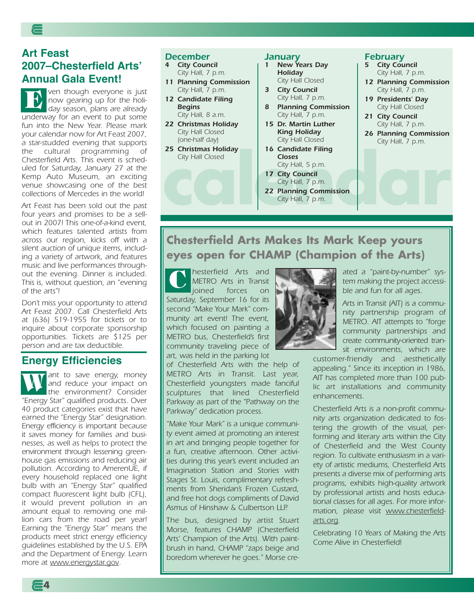### **Art Feast 2007–Chesterfield Arts' Annual Gala Event!**

ven though everyone is just now gearing up for the holiday season, plans are already underway for an event to put some fun into the New Year. Please mark your calendar now for Art Feast 2007, a star-studded evening that supports the cultural programming of Chesterfield Arts. This event is scheduled for Saturday, January 27 at the Kemp Auto Museum, an exciting venue showcasing one of the best collections of Mercedes in the world! **E**

Art Feast has been sold out the past four years and promises to be a sellout in 2007! This one-of-a-kind event, which features talented artists from across our region, kicks off with a silent auction of unique items, including a variety of artwork, and features music and live performances throughout the evening. Dinner is included. This is, without question, an "evening of the arts"!

Don't miss your opportunity to attend Art Feast 2007. Call Chesterfield Arts at (636) 519-1955 for tickets or to inquire about corporate sponsorship opportunities. Tickets are \$125 per person and are tax deductible.

### **Energy Efficiencies**

ant to save energy, money<br>and reduce your impact on and reduce your impact on the environment? Consider "Energy Star" qualified products. Over 40 product categories exist that have earned the "Energy Star" designation. Energy efficiency is important because it saves money for families and businesses, as well as helps to protect the environment through lessening greenhouse gas emissions and reducing air pollution. According to AmerenUE, if every household replaced one light bulb with an "Energy Star" qualified compact fluorescent light bulb (CFL), it would prevent pollution in an amount equal to removing one million cars from the road per year! Earning the "Energy Star" means the products meet strict energy efficiency guidelines established by the U.S. EPA and the Department of Energy. Learn more at www.energystar.gov.

#### *December*

- *4 City Council* City Hall, 7 p.m.
- *11 Planning Commission* City Hall, 7 p.m.
- *12 Candidate Filing Begins* City Hall, 8 a.m.
- *22 Christmas Holiday* City Hall Closed (one-half day)
- *25 Christmas Holiday* City Hall Closed

#### *January*

- *1 New Years Day Holiday* City Hall Closed
- *3 City Council* City Hall, 7 p.m.
- *8 Planning Commission* City Hall, 7 p.m.
- *15 Dr. Martin Luther King Holiday* City Hall Closed
- *16 Candidate Filing Closes*
- City Hall, 5 p.m. *17 City Council*
- City Hall Closed<br>
City Hall, 5 p.m.<br> **17 City Council**<br>
City Hall, 7 p.m.<br> **22 Planning Commission**<br>
City Hall, 7 p.m. City Hall, 7 p.m. *22 Planning Commission*
	- City Hall, 7 p.m.

#### *February*

- *5 City Council* City Hall, 7 p.m.
- *12 Planning Commission* City Hall, 7 p.m.
- *19 Presidents' Day* City Hall Closed
- *21 City Council* City Hall, 7 p.m.
- *26 Planning Commission* City Hall, 7 p.m.

### **Chesterfield Arts Makes Its Mark Keep yours eyes open for CHAMP (Champion of the Arts)**

hesterfield Arts and METRO Arts in Transit joined forces on Saturday, September 16 for its second "Make Your Mark" community art event! The event, which focused on painting a METRO bus, Chesterfield's first community traveling piece of art, was held in the parking lot **C**

of Chesterfield Arts with the help of METRO Arts in Transit. Last year, Chesterfield youngsters made fanciful sculptures that lined Chesterfield Parkway as part of the "Pathway on the Parkway" dedication process.

"Make Your Mark" is a unique community event aimed at promoting an interest in art and bringing people together for a fun, creative afternoon. Other activities during this year's event included an Imagination Station and Stories with Stages St. Louis, complimentary refreshments from Sheridan's Frozen Custard, and free hot dogs compliments of David Asmus of Hinshaw & Culbertson LLP.

The bus, designed by artist Stuart Morse, features CHAMP (Chesterfield Arts' Champion of the Arts). With paintbrush in hand, CHAMP "zaps beige and boredom wherever he goes." Morse cre-



ated a "paint-by-number" system making the project accessible and fun for all ages.

Arts in Transit (AIT) is a community partnership program of METRO. AIT attempts to "forge community partnerships and create community-oriented transit environments, which are

customer-friendly and aesthetically appealing." Since its inception in 1986, AIT has completed more than 100 public art installations and community enhancements.

Chesterfield Arts is a non-profit community arts organization dedicated to fostering the growth of the visual, performing and literary arts within the City of Chesterfield and the West County region. To cultivate enthusiasm in a variety of artistic mediums, Chesterfield Arts presents a diverse mix of performing arts programs, exhibits high-quality artwork by professional artists and hosts educational classes for all ages. For more information, please visit www.chesterfieldarts.org.

Celebrating 10 Years of Making the Arts Come Alive in Chesterfield!

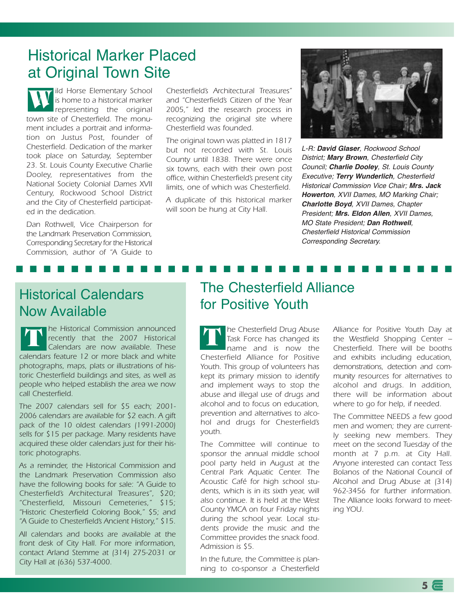### Historical Marker Placed at Original Town Site

ild Horse Elementary School is home to a historical marker representing the original town site of Chesterfield. The monument includes a portrait and information on Justus Post, founder of Chesterfield. Dedication of the marker took place on Saturday, September 23. St. Louis County Executive Charlie Dooley, representatives from the National Society Colonial Dames XVII Century, Rockwood School District and the City of Chesterfield participated in the dedication. **W**

Dan Rothwell, Vice Chairperson for the Landmark Preservation Commission, Corresponding Secretary for the Historical Commission, author of "A Guide to

Chesterfield's Architectural Treasures" and "Chesterfield's Citizen of the Year 2005," led the research process in recognizing the original site where Chesterfield was founded.

The original town was platted in 1817 but not recorded with St. Louis County until 1838. There were once six towns, each with their own post office, within Chesterfield's present city limits, one of which was Chesterfield.

A duplicate of this historical marker will soon be hung at City Hall.

**■ ■ ■ ■ ■ ■ ■ ■ ■ ■ ■ ■ ■ ■ ■ ■ ■ ■ ■ ■ ■ ■ ■ ■ ■ ■ ■ ■ ■ ■ ■ ■**



L-R: **David Glaser**, Rockwood School District; **Mary Brown**, Chesterfield City Council; **Charlie Dooley**, St. Louis County Executive; **Terry Wunderlich**, Chesterfield Historical Commission Vice Chair; **Mrs. Jack Howerton**, XVII Dames, MO Marking Chair; **Charlotte Boyd**, XVII Dames, Chapter President; **Mrs. Eldon Allen**, XVII Dames, MO State President; **Dan Rothwell**, Chesterfield Historical Commission Corresponding Secretary.

### Historical Calendars Now Available

he Historical Commission announced **T T** recently that the 2007 Historical Calendars are now available. These calendars feature 12 or more black and white photographs, maps, plats or illustrations of historic Chesterfield buildings and sites, as well as people who helped establish the area we now call Chesterfield.

The 2007 calendars sell for \$5 each; 2001- 2006 calendars are available for \$2 each. A gift pack of the 10 oldest calendars (1991-2000) sells for \$15 per package. Many residents have acquired these older calendars just for their historic photographs.

As a reminder, the Historical Commission and the Landmark Preservation Commission also have the following books for sale: "A Guide to Chesterfield's Architectural Treasures", \$20; "Chesterfield, Missouri Cemeteries," \$15; "Historic Chesterfield Coloring Book," \$5; and "A Guide to Chesterfield's Ancient History," \$15.

All calendars and books are available at the front desk of City Hall. For more information, contact Arland Stemme at (314) 275-2031 or City Hall at (636) 537-4000.

### The Chesterfield Alliance for Positive Youth

he Chesterfield Drug Abuse Task Force has changed its name and is now the Chesterfield Alliance for Positive Youth. This group of volunteers has kept its primary mission to identify and implement ways to stop the abuse and illegal use of drugs and alcohol and to focus on education, prevention and alternatives to alcohol and drugs for Chesterfield's youth.

The Committee will continue to sponsor the annual middle school pool party held in August at the Central Park Aquatic Center. The Acoustic Café for high school students, which is in its sixth year, will also continue. It is held at the West County YMCA on four Friday nights during the school year. Local students provide the music and the Committee provides the snack food. Admission is \$5.

In the future, the Committee is planning to co-sponsor a Chesterfield

Alliance for Positive Youth Day at the Westfield Shopping Center – Chesterfield. There will be booths and exhibits including education, demonstrations, detection and community resources for alternatives to alcohol and drugs. In addition, there will be information about where to go for help, if needed.

The Committee NEEDS a few good men and women; they are currently seeking new members. They meet on the second Tuesday of the month at 7 p.m. at City Hall. Anyone interested can contact Tess Bolanos of the National Council of Alcohol and Drug Abuse at (314) 962-3456 for further information. The Alliance looks forward to meeting YOU.

**5**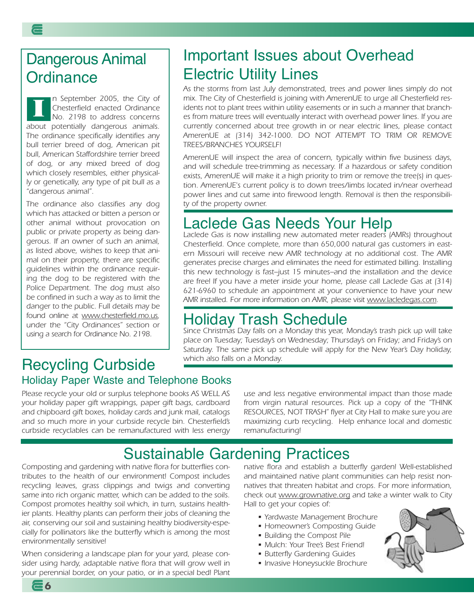n September 2005, the City of Chesterfield enacted Ordinance No. 2198 to address concerns about potentially dangerous animals. The ordinance specifically identifies any bull terrier breed of dog, American pit bull, American Staffordshire terrier breed of dog, or any mixed breed of dog which closely resembles, either physically or genetically, any type of pit bull as a "dangerous animal". **I**

The ordinance also classifies any dog which has attacked or bitten a person or other animal without provocation on public or private property as being dangerous. If an owner of such an animal, as listed above, wishes to keep that animal on their property, there are specific guidelines within the ordinance requiring the dog to be registered with the Police Department. The dog must also be confined in such a way as to limit the danger to the public. Full details may be found online at www.chesterfield.mo.us, under the "City Ordinances" section or using a search for Ordinance No. 2198.

## Important Issues about Overhead Electric Utility Lines

As the storms from last July demonstrated, trees and power lines simply do not mix. The City of Chesterfield is joining with AmerenUE to urge all Chesterfield residents not to plant trees within utility easements or in such a manner that branches from mature trees will eventually interact with overhead power lines. If you are currently concerned about tree growth in or near electric lines, please contact AmerenUE at (314) 342-1000. DO NOT ATTEMPT TO TRIM OR REMOVE TREES/BRANCHES YOURSELF!

AmerenUE will inspect the area of concern, typically within five business days, and will schedule tree-trimming as necessary. If a hazardous or safety condition exists, AmerenUE will make it a high priority to trim or remove the tree(s) in question. AmerenUE's current policy is to down trees/limbs located in/near overhead power lines and cut same into firewood length. Removal is then the responsibility of the property owner.

## Laclede Gas Needs Your Help

Laclede Gas is now installing new automated meter readers (AMRs) throughout Chesterfield. Once complete, more than 650,000 natural gas customers in eastern Missouri will receive new AMR technology at no additional cost. The AMR generates precise charges and eliminates the need for estimated billing. Installing this new technology is fast–just 15 minutes–and the installation and the device are free! If you have a meter inside your home, please call Laclede Gas at (314) 621-6960 to schedule an appointment at your convenience to have your new AMR installed. For more information on AMR, please visit www.lacledegas.com.

## Holiday Trash Schedule

Since Christmas Day falls on a Monday this year, Monday's trash pick up will take place on Tuesday; Tuesday's on Wednesday; Thursday's on Friday; and Friday's on Saturday. The same pick up schedule will apply for the New Year's Day holiday, which also falls on a Monday.

### Recycling Curbside Holiday Paper Waste and Telephone Books

Please recycle your old or surplus telephone books AS WELL AS your holiday paper gift wrappings, paper gift bags, cardboard and chipboard gift boxes, holiday cards and junk mail, catalogs and so much more in your curbside recycle bin. Chesterfield's curbside recyclables can be remanufactured with less energy use and less negative environmental impact than those made from virgin natural resources. Pick up a copy of the "THINK RESOURCES, NOT TRASH" flyer at City Hall to make sure you are maximizing curb recycling. Help enhance local and domestic remanufacturing!

## Sustainable Gardening Practices

Composting and gardening with native flora for butterflies contributes to the health of our environment! Compost includes recycling leaves, grass clippings and twigs and converting same into rich organic matter, which can be added to the soils. Compost promotes healthy soil which, in turn, sustains healthier plants. Healthy plants can perform their jobs of cleaning the air, conserving our soil and sustaining healthy biodiversity-especially for pollinators like the butterfly which is among the most environmentally sensitive!

When considering a landscape plan for your yard, please consider using hardy, adaptable native flora that will grow well in your perennial border, on your patio, or in a special bed! Plant native flora and establish a butterfly garden! Well-established and maintained native plant communities can help resist nonnatives that threaten habitat and crops. For more information, check out www.grownative.org and take a winter walk to City Hall to get your copies of:

- Yardwaste Management Brochure
- Homeowner's Composting Guide
- Building the Compost Pile
- Mulch: Your Tree's Best Friend!
- Butterfly Gardening Guides
- Invasive Honeysuckle Brochure



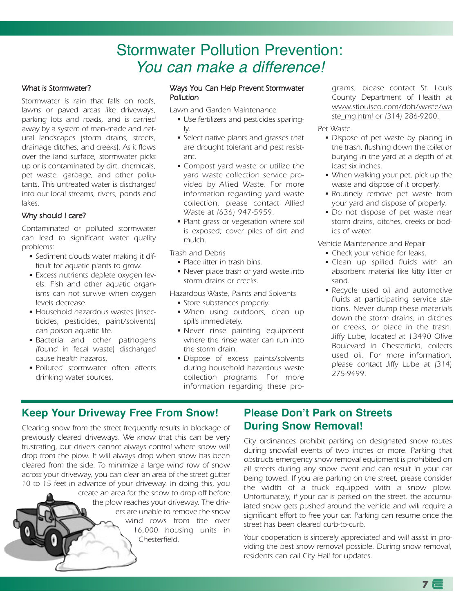## Stormwater Pollution Prevention: You can make a difference!

#### What is Stormwater?

Stormwater is rain that falls on roofs, lawns or paved areas like driveways, parking lots and roads, and is carried away by a system of man-made and natural landscapes (storm drains, streets, drainage ditches, and creeks). As it flows over the land surface, stormwater picks up or is contaminated by dirt, chemicals, pet waste, garbage, and other pollutants. This untreated water is discharged into our local streams, rivers, ponds and lakes.

### Why should I care?

Contaminated or polluted stormwater can lead to significant water quality problems:

- Sediment clouds water making it difficult for aquatic plants to grow.
- Excess nutrients deplete oxygen levels. Fish and other aquatic organisms can not survive when oxygen levels decrease.
- Household hazardous wastes (insecticides, pesticides, paint/solvents) can poison aquatic life.
- Bacteria and other pathogens (found in fecal waste) discharged cause health hazards.
- Polluted stormwater often affects drinking water sources.

#### Ways You Can Help Prevent Stormwater Pollution

Lawn and Garden Maintenance

- Use fertilizers and pesticides sparingly.
- Select native plants and grasses that are drought tolerant and pest resistant.
- Compost yard waste or utilize the yard waste collection service provided by Allied Waste. For more information regarding yard waste collection, please contact Allied Waste at (636) 947-5959.
- Plant grass or vegetation where soil is exposed; cover piles of dirt and mulch.

Trash and Debris

- Place litter in trash bins.
- Never place trash or yard waste into storm drains or creeks.
- Hazardous Waste, Paints and Solvents
	- Store substances properly.
	- When using outdoors, clean up spills immediately.
	- Never rinse painting equipment where the rinse water can run into the storm drain.
	- Dispose of excess paints/solvents during household hazardous waste collection programs. For more information regarding these pro-

grams, please contact St. Louis County Department of Health at www.stlouisco.com/doh/waste/wa ste\_mg.html or (314) 286-9200.

#### Pet Waste

- Dispose of pet waste by placing in the trash, flushing down the toilet or burying in the yard at a depth of at least six inches.
- When walking your pet, pick up the waste and dispose of it properly.
- Routinely remove pet waste from your yard and dispose of properly.
- Do not dispose of pet waste near storm drains, ditches, creeks or bodies of water.

Vehicle Maintenance and Repair

- Check your vehicle for leaks.
- Clean up spilled fluids with an absorbent material like kitty litter or sand.
- Recycle used oil and automotive fluids at participating service stations. Never dump these materials down the storm drains, in ditches or creeks, or place in the trash. Jiffy Lube, located at 13490 Olive Boulevard in Chesterfield, collects used oil. For more information, please contact Jiffy Lube at (314) 275-9499.

### **Keep Your Driveway Free From Snow!**

Clearing snow from the street frequently results in blockage of previously cleared driveways. We know that this can be very frustrating, but drivers cannot always control where snow will drop from the plow. It will always drop when snow has been cleared from the side. To minimize a large wind row of snow across your driveway, you can clear an area of the street gutter 10 to 15 feet in advance of your driveway. In doing this, you create an area for the snow to drop off before the plow reaches your driveway. The drivers are unable to remove the snow wind rows from the over 16,000 housing units in Chesterfield.

### **Please Don't Park on Streets During Snow Removal!**

City ordinances prohibit parking on designated snow routes during snowfall events of two inches or more. Parking that obstructs emergency snow removal equipment is prohibited on all streets during any snow event and can result in your car being towed. If you are parking on the street, please consider the width of a truck equipped with a snow plow. Unfortunately, if your car is parked on the street, the accumulated snow gets pushed around the vehicle and will require a significant effort to free your car. Parking can resume once the street has been cleared curb-to-curb.

Your cooperation is sincerely appreciated and will assist in providing the best snow removal possible. During snow removal, residents can call City Hall for updates.

**7**